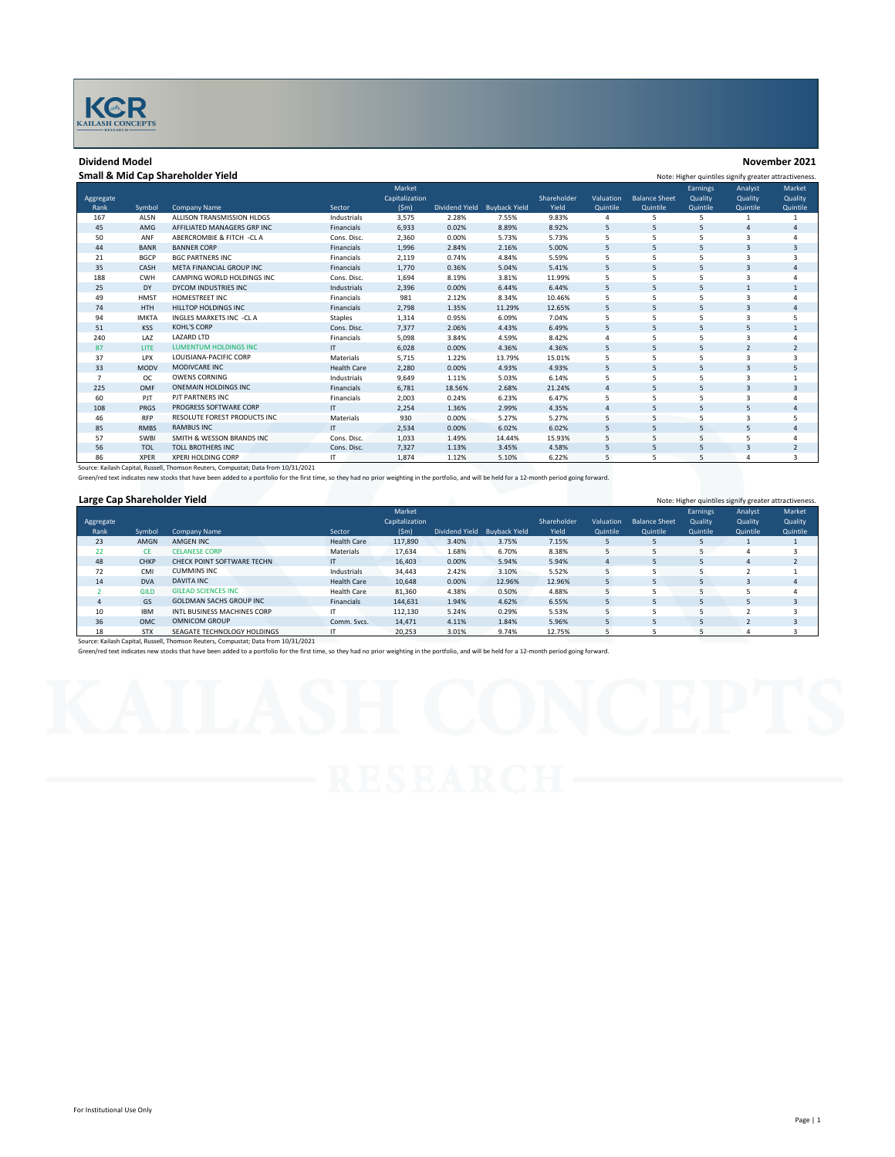

## **Dividend Model November 2021**

Aggregate<br>Rank

## **Small & Mid Cap Shareholder Yield** Note: Higher quintiles signify greater attractiveness. Rank Symbol Company Name Sector 167 ALSN ALLISON TRANSMISSION HLDGS Industrials 3,575 2.28% 7.55% 9.83% 4 5 5 1 1 Market Capitalization<br>(Sm) (\$m) Dividend Yield Buyback Yield Shareholde Yield **Valuation** Quintile **Balance Sh** Quintile Earnings **Quality** Quintile Analyst **Quality** Quintile 45 AMG AFFILIATED MANAGERS GRP INC<br>45 AMG AFFILIATED MANAGERS GRP INC Financials 6,933 0.02% 8.89% 8.92% 5 5 5 4 4<br>4 50 ANF ABERCROMBIE & FITCH -CLA Cons. Disc. 2,360 0.00% 5.73% 5.73% 5 5 5 3 4 50 ANF ABERCROMBIE & FITCH -CL A Cons. Disc. 2,360 0.00% 5.73% 5.73% 5 5 5 3 4 44 BANR BANNER CORP Financials 1,996 2.84% 2.16% 5.00% 5 5 5 3 3 21 BGCP BGC PARTNERS INC Financials 2,119 0.74% 4.84% 5.59% 5 5 5 3 3 35 CASH META FINANCIAL GROUP INC Financials 1,770 0.36% 5.04% 5.41% 5 5 5 3 4

86 XPER XPERI HOLDING CORP IT 1,874 1.12% 5.10% 6.22% 5 5 5 4 3 Source: Kailash Capital, Russell, Thomson Reuters, Compustat; Data from 10/31/2021

Green/red text indicates new stocks that have been added to a portfolio for the first time, so they had no prior weighting in the portfolio, and will be held for a 12-month period going forward.

37 LPX LOUISIANA-PACIFIC CORP Materials 5,715 1.22% 13.79% 15.01% 5 5 5 3 3

# **Large Cap Shareholder Yield** Note: Higher quintiles signify greater attractiveness.

| $-4.74$ $-4.77$ $-1.41$ $-1.41$ $-1.41$                                            |             |                                |                    |                |                |                      |             |           |                      |          |          |          |
|------------------------------------------------------------------------------------|-------------|--------------------------------|--------------------|----------------|----------------|----------------------|-------------|-----------|----------------------|----------|----------|----------|
|                                                                                    |             |                                |                    | Market         |                |                      |             |           |                      | Earnings | Analyst  | Market   |
| Aggregate                                                                          |             |                                |                    | Capitalization |                |                      | Shareholder | Valuation | <b>Balance Sheet</b> | Quality  | Quality  | Quality  |
| Rank                                                                               | Symbol      | <b>Company Name</b>            | Sector             | (Sm)           | Dividend Yield | <b>Buyback Yield</b> | Yield       | Quintile  | Quintile             | Quintile | Quintile | Quintile |
| 23                                                                                 | AMGN        | AMGEN INC                      | <b>Health Care</b> | 117,890        | 3.40%          | 3.75%                | 7.15%       |           |                      |          |          |          |
| 22                                                                                 | CE.         | <b>CELANESE CORP</b>           | Materials          | 17.634         | 1.68%          | 6.70%                | 8.38%       |           |                      |          |          |          |
| 48                                                                                 | <b>CHKP</b> | CHECK POINT SOFTWARE TECHN     | IT.                | 16,403         | 0.00%          | 5.94%                | 5.94%       |           |                      |          | A        |          |
| 72                                                                                 | CMI         | <b>CUMMINS INC</b>             | Industrials        | 34,443         | 2.42%          | 3.10%                | 5.52%       |           |                      |          |          |          |
| 14                                                                                 | <b>DVA</b>  | <b>DAVITA INC</b>              | <b>Health Care</b> | 10,648         | 0.00%          | 12.96%               | 12.96%      |           |                      |          |          | 4        |
|                                                                                    | <b>GILD</b> | <b>GILEAD SCIENCES INC</b>     | <b>Health Care</b> | 81.360         | 4.38%          | 0.50%                | 4.88%       |           |                      |          |          |          |
| 4                                                                                  | GS          | <b>GOLDMAN SACHS GROUP INC</b> | Financials         | 144.631        | 1.94%          | 4.62%                | 6.55%       |           | 5                    |          |          |          |
| 10                                                                                 | <b>IBM</b>  | INTL BUSINESS MACHINES CORP    | ΙT                 | 112,130        | 5.24%          | 0.29%                | 5.53%       |           |                      |          |          |          |
| 36                                                                                 | <b>OMC</b>  | <b>OMNICOM GROUP</b>           | Comm. Svcs.        | 14,471         | 4.11%          | 1.84%                | 5.96%       |           |                      |          |          |          |
| 18                                                                                 | <b>STX</b>  | SEAGATE TECHNOLOGY HOLDINGS    |                    | 20,253         | 3.01%          | 9.74%                | 12.75%      |           |                      |          |          |          |
| Source: Kailash Capital, Russell, Thomson Reuters, Compustat; Data from 10/31/2021 |             |                                |                    |                |                |                      |             |           |                      |          |          |          |

188 CWH CAMPING-WORLD-HOLDINGS-INC Cons. Disc. 1,694 8.19% 3.81% 11.99% 5 5 5 3 4<br>25 DY DYCOM-INDUSTRIES-INC - Industrials 2.396 0.00% 6.44% 6.44% 5 5 5 1 1 DY DYCOM INDUSTRIES INC Industrials 2,396 0.00% 6.44% 6.44% 5 5 5 1 1 HMST HOMESTREET INC Financials 981 2.12% 8.34% 10.46% 5 5 5 3 4 HTH HILLTOP HOLDINGS INC Financials 2,798 1.35% 11.29% 12.65% 5 5 5 3 4 94 IMKTA INGLES MARKETS INC -CLA Indicates inc. 2012 1,314 0.95% 6.09% 7.04% 5 5 5 3 5<br>194 IMKTA INGLES MARKETS INC -CLA Staples 1,314 0.95% 6.09% 7.04% 5 5 5 3 5<br>195 Staples Cons. Disc. 7,377 2.06% 4.43% 6.49% 5 5 5 5 1 KSS KOHL'S CORP Cons. Disc. 7,377 2.06% 4.43% 6.49% 5 5 5 5 1 LAZ LAZARD LTD Financials 5,098 3.84% 4.59% 8.42% 4 5 5 3 4 LITE LUMENTUM HOLDINGS INC IT 6,028 0.00% 4.36% 4.36% 5 5 5 2 2

 MODV MODIVCARE INC Health Care 2,280 0.00% 4.93% 4.93% 5 5 5 3 5 7 OC OWENS CORNING Industrials 9,649 1.11% 5.03% 6.14% 5 5 5 5 3 1 OMF ONEMAIN HOLDINGS INC Financials 6,781 18.56% 2.68% 21.24% 4 5 5 3 3 PJT PJT PARTNERS INC Financials 2,003 0.24% 6.23% 6.47% 5 5 5 3 4 PRGS PROGRESS SOFTWARE CORP IT 2,254 1.36% 2.99% 4.35% 4 5 5 5 4 RFP RESOLUTE FOREST PRODUCTS INC Materials 930 0.00% 5.27% 5.27% 5 5 5 3 5 RMBS RAMBUS INC IT 2,534 0.00% 6.02% 6.02% 5 5 5 5 4 SWBI SMITH & WESSON BRANDS INC Cons. Disc. 1,033 1.49% 14.44% 15.93% 5 5 5 5 4 TOL TOLL BROTHERS INC Cons. Disc. 7,327 1.13% 3.45% 4.58% 5 5 5 3 2

Green/red text indicates new stocks that have been added to a portfolio for the first time, so they had no prior weighting in the portfolio, and will be held for a 12-month period going forward.

Market **Quality** Quintile